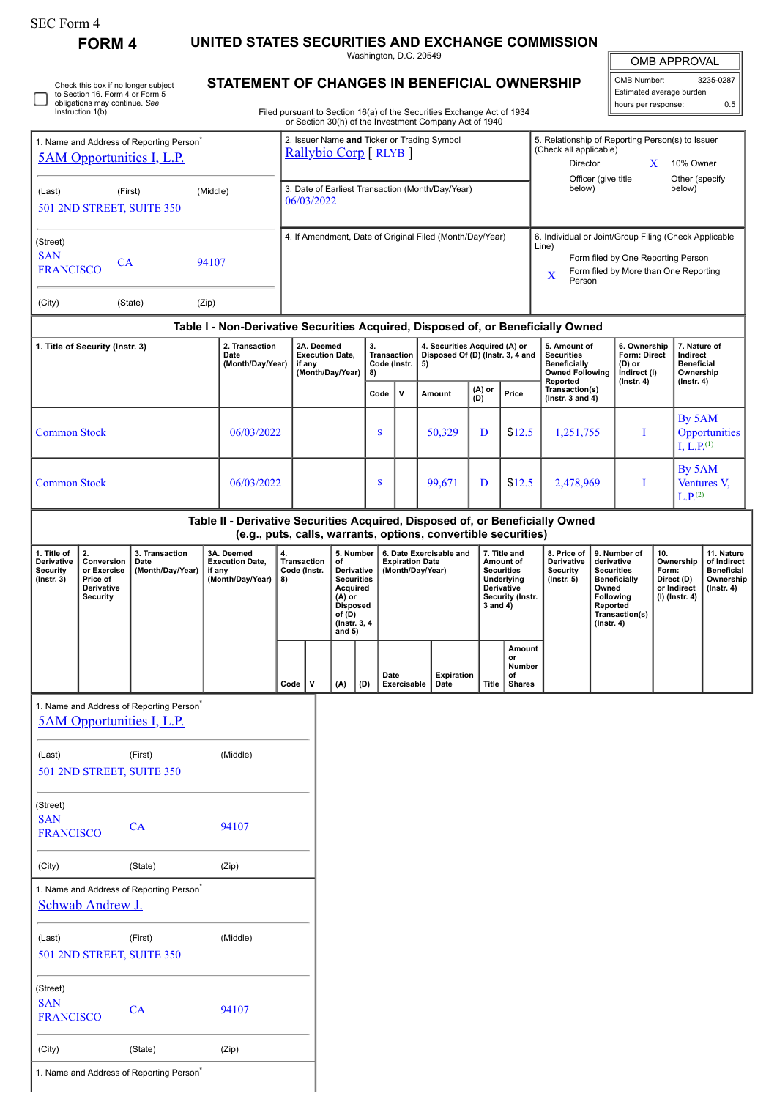| SEC Form 4 |  |
|------------|--|
|------------|--|

**FORM 4 UNITED STATES SECURITIES AND EXCHANGE COMMISSION**

Washington, D.C. 20549

|  | Check this box if no longer subject<br>to Section 16. Form 4 or Form 5<br>obligations may continue. See<br>Instruction 1(b). |
|--|------------------------------------------------------------------------------------------------------------------------------|
|--|------------------------------------------------------------------------------------------------------------------------------|

## **STATEMENT OF CHANGES IN BENEFICIAL OWNERSHIP**

Filed pursuant to Section 16(a) of the Securities Exchange Act of 1934 or Section 30(h) of the Investment Company Act of 1940

| <b>OMB APPROVAL</b>      |           |  |  |  |  |  |
|--------------------------|-----------|--|--|--|--|--|
| <b>OMB Number:</b>       | 3235-0287 |  |  |  |  |  |
| Estimated average burden |           |  |  |  |  |  |

| hours per response: | 0.5 |
|---------------------|-----|
|                     |     |
|                     |     |

IL

| 1. Name and Address of Reporting Person <sup>®</sup><br><b><u>5AM Opportunities I, L.P.</u></b>                                                                   |                                                                                                                                                 |                                                                                    | 2. Issuer Name and Ticker or Trading Symbol<br>Rallybio Corp [RLYB] |                                                                    |                                |                                                                |                                                |                                                                                                                                    |      | 5. Relationship of Reporting Person(s) to Issuer<br>(Check all applicable)<br><b>Director</b><br>X<br>10% Owner |                                                                                                                                                              |                                             |                                                           |                                                                                                                                                                                                                                                                                                         |  |                                                                                              |  |                                                            |                                                                                 |                                |               |
|-------------------------------------------------------------------------------------------------------------------------------------------------------------------|-------------------------------------------------------------------------------------------------------------------------------------------------|------------------------------------------------------------------------------------|---------------------------------------------------------------------|--------------------------------------------------------------------|--------------------------------|----------------------------------------------------------------|------------------------------------------------|------------------------------------------------------------------------------------------------------------------------------------|------|-----------------------------------------------------------------------------------------------------------------|--------------------------------------------------------------------------------------------------------------------------------------------------------------|---------------------------------------------|-----------------------------------------------------------|---------------------------------------------------------------------------------------------------------------------------------------------------------------------------------------------------------------------------------------------------------------------------------------------------------|--|----------------------------------------------------------------------------------------------|--|------------------------------------------------------------|---------------------------------------------------------------------------------|--------------------------------|---------------|
| (Middle)<br>(First)<br>(Last)<br>501 2ND STREET, SUITE 350                                                                                                        |                                                                                                                                                 |                                                                                    |                                                                     |                                                                    |                                | 3. Date of Earliest Transaction (Month/Day/Year)<br>06/03/2022 |                                                |                                                                                                                                    |      |                                                                                                                 |                                                                                                                                                              |                                             | Officer (give title<br>Other (specify<br>below)<br>below) |                                                                                                                                                                                                                                                                                                         |  |                                                                                              |  |                                                            |                                                                                 |                                |               |
| (Street)<br><b>SAN</b><br>94107<br>CA<br><b>FRANCISCO</b>                                                                                                         |                                                                                                                                                 |                                                                                    |                                                                     | 4. If Amendment, Date of Original Filed (Month/Day/Year)           |                                |                                                                |                                                |                                                                                                                                    |      |                                                                                                                 | 6. Individual or Joint/Group Filing (Check Applicable<br>Line)<br>Form filed by One Reporting Person<br>Form filed by More than One Reporting<br>X<br>Person |                                             |                                                           |                                                                                                                                                                                                                                                                                                         |  |                                                                                              |  |                                                            |                                                                                 |                                |               |
| (City)                                                                                                                                                            |                                                                                                                                                 | (State)                                                                            | (Zip)                                                               |                                                                    |                                |                                                                |                                                |                                                                                                                                    |      |                                                                                                                 |                                                                                                                                                              |                                             |                                                           |                                                                                                                                                                                                                                                                                                         |  |                                                                                              |  |                                                            |                                                                                 |                                |               |
| Table I - Non-Derivative Securities Acquired, Disposed of, or Beneficially Owned<br>2. Transaction<br>1. Title of Security (Instr. 3)<br>Date<br>(Month/Day/Year) |                                                                                                                                                 |                                                                                    |                                                                     | 2A. Deemed<br><b>Execution Date,</b><br>if any<br>(Month/Day/Year) |                                |                                                                | 3.<br><b>Transaction</b><br>Code (Instr.<br>8) |                                                                                                                                    |      | 4. Securities Acquired (A) or<br>Disposed Of (D) (Instr. 3, 4 and<br>5)                                         |                                                                                                                                                              |                                             |                                                           | 5. Amount of<br><b>Securities</b><br><b>Beneficially</b><br><b>Owned Following</b>                                                                                                                                                                                                                      |  | 6. Ownership<br>Form: Direct<br>(D) or<br>Indirect (I)                                       |  | 7. Nature of<br>Indirect<br><b>Beneficial</b><br>Ownership |                                                                                 |                                |               |
|                                                                                                                                                                   |                                                                                                                                                 |                                                                                    |                                                                     |                                                                    |                                |                                                                |                                                |                                                                                                                                    | Code | v                                                                                                               |                                                                                                                                                              | Amount                                      | (A) or<br>(D)                                             | Price                                                                                                                                                                                                                                                                                                   |  | Reported<br>Transaction(s)<br>(Instr. 3 and $4$ )                                            |  | $($ Instr. 4 $)$                                           |                                                                                 | $($ Instr. 4 $)$               |               |
| <b>Common Stock</b>                                                                                                                                               |                                                                                                                                                 |                                                                                    |                                                                     | 06/03/2022                                                         |                                |                                                                |                                                |                                                                                                                                    | S    |                                                                                                                 |                                                                                                                                                              | 50,329                                      | D                                                         | \$12.5                                                                                                                                                                                                                                                                                                  |  | 1,251,755                                                                                    |  |                                                            |                                                                                 | By 5AM<br>I, L.P. $^{(1)}$     | Opportunities |
| <b>Common Stock</b>                                                                                                                                               |                                                                                                                                                 |                                                                                    |                                                                     | 06/03/2022                                                         |                                |                                                                |                                                |                                                                                                                                    | S    |                                                                                                                 |                                                                                                                                                              | 99,671                                      | D                                                         | \$12.5                                                                                                                                                                                                                                                                                                  |  | 2,478,969                                                                                    |  |                                                            |                                                                                 | By 5AM<br>L.P <sub>.</sub> (2) | Ventures V,   |
|                                                                                                                                                                   | Table II - Derivative Securities Acquired, Disposed of, or Beneficially Owned<br>(e.g., puts, calls, warrants, options, convertible securities) |                                                                                    |                                                                     |                                                                    |                                |                                                                |                                                |                                                                                                                                    |      |                                                                                                                 |                                                                                                                                                              |                                             |                                                           |                                                                                                                                                                                                                                                                                                         |  |                                                                                              |  |                                                            |                                                                                 |                                |               |
| 1. Title of<br>Derivative<br><b>Security</b><br>$($ Instr. 3 $)$                                                                                                  | 2.<br>Conversion<br>or Exercise<br>Price of<br>Derivative<br><b>Security</b>                                                                    | 3. Transaction<br>Date<br>(Month/Day/Year)                                         | if any                                                              | 3A. Deemed<br><b>Execution Date,</b><br>(Month/Day/Year)           | 4.<br><b>Transaction</b><br>8) | Code (Instr.                                                   |                                                | 5. Number<br>of<br>Derivative<br><b>Securities</b><br>Acquired<br>(A) or<br><b>Disposed</b><br>of (D)<br>(Instr. 3, 4)<br>and $5)$ |      | <b>Expiration Date</b>                                                                                          |                                                                                                                                                              | 6. Date Exercisable and<br>(Month/Day/Year) |                                                           | 7. Title and<br>8. Price of<br>9. Number of<br>Derivative<br>Amount of<br>derivative<br><b>Securities</b><br>Security<br><b>Securities</b><br>Underlying<br>$($ Instr. 5 $)$<br><b>Beneficially</b><br>Derivative<br>Owned<br>Following<br>Security (Instr.<br>Reported<br>3 and 4)<br>$($ Instr. 4 $)$ |  | 10.<br>Ownership<br>Form:<br>Direct (D)<br>or Indirect<br>$(I)$ (Instr. 4)<br>Transaction(s) |  |                                                            | 11. Nature<br>of Indirect<br><b>Beneficial</b><br>Ownership<br>$($ lnstr. 4 $)$ |                                |               |
|                                                                                                                                                                   |                                                                                                                                                 |                                                                                    |                                                                     |                                                                    | Code                           | v                                                              |                                                | (A)                                                                                                                                | (D)  | Date<br>Exercisable                                                                                             |                                                                                                                                                              | <b>Expiration</b><br>Date                   | <b>Title</b>                                              | <b>Amount</b><br>or<br>Number<br>of<br><b>Shares</b>                                                                                                                                                                                                                                                    |  |                                                                                              |  |                                                            |                                                                                 |                                |               |
|                                                                                                                                                                   |                                                                                                                                                 | 1. Name and Address of Reporting Person<br><b><u>5AM Opportunities I, L.P.</u></b> |                                                                     |                                                                    |                                |                                                                |                                                |                                                                                                                                    |      |                                                                                                                 |                                                                                                                                                              |                                             |                                                           |                                                                                                                                                                                                                                                                                                         |  |                                                                                              |  |                                                            |                                                                                 |                                |               |
| (Last)                                                                                                                                                            |                                                                                                                                                 | (First)<br>501 2ND STREET, SUITE 350                                               |                                                                     | (Middle)                                                           |                                |                                                                |                                                |                                                                                                                                    |      |                                                                                                                 |                                                                                                                                                              |                                             |                                                           |                                                                                                                                                                                                                                                                                                         |  |                                                                                              |  |                                                            |                                                                                 |                                |               |
| (Street)<br><b>SAN</b><br><b>FRANCISCO</b>                                                                                                                        |                                                                                                                                                 | CA                                                                                 |                                                                     | 94107                                                              |                                |                                                                |                                                |                                                                                                                                    |      |                                                                                                                 |                                                                                                                                                              |                                             |                                                           |                                                                                                                                                                                                                                                                                                         |  |                                                                                              |  |                                                            |                                                                                 |                                |               |
| (City)                                                                                                                                                            |                                                                                                                                                 | (State)                                                                            |                                                                     | (Zip)                                                              |                                |                                                                |                                                |                                                                                                                                    |      |                                                                                                                 |                                                                                                                                                              |                                             |                                                           |                                                                                                                                                                                                                                                                                                         |  |                                                                                              |  |                                                            |                                                                                 |                                |               |
|                                                                                                                                                                   | Schwab Andrew J.                                                                                                                                | 1. Name and Address of Reporting Person <sup>*</sup>                               |                                                                     |                                                                    |                                |                                                                |                                                |                                                                                                                                    |      |                                                                                                                 |                                                                                                                                                              |                                             |                                                           |                                                                                                                                                                                                                                                                                                         |  |                                                                                              |  |                                                            |                                                                                 |                                |               |
| (Last)                                                                                                                                                            |                                                                                                                                                 | (First)<br>501 2ND STREET, SUITE 350                                               |                                                                     | (Middle)                                                           |                                |                                                                |                                                |                                                                                                                                    |      |                                                                                                                 |                                                                                                                                                              |                                             |                                                           |                                                                                                                                                                                                                                                                                                         |  |                                                                                              |  |                                                            |                                                                                 |                                |               |
| (Street)<br><b>SAN</b><br><b>FRANCISCO</b>                                                                                                                        |                                                                                                                                                 | CA                                                                                 |                                                                     | 94107                                                              |                                |                                                                |                                                |                                                                                                                                    |      |                                                                                                                 |                                                                                                                                                              |                                             |                                                           |                                                                                                                                                                                                                                                                                                         |  |                                                                                              |  |                                                            |                                                                                 |                                |               |

(City) (State) (Zip) 1. Name and Address of Reporting Person<sup>\*</sup>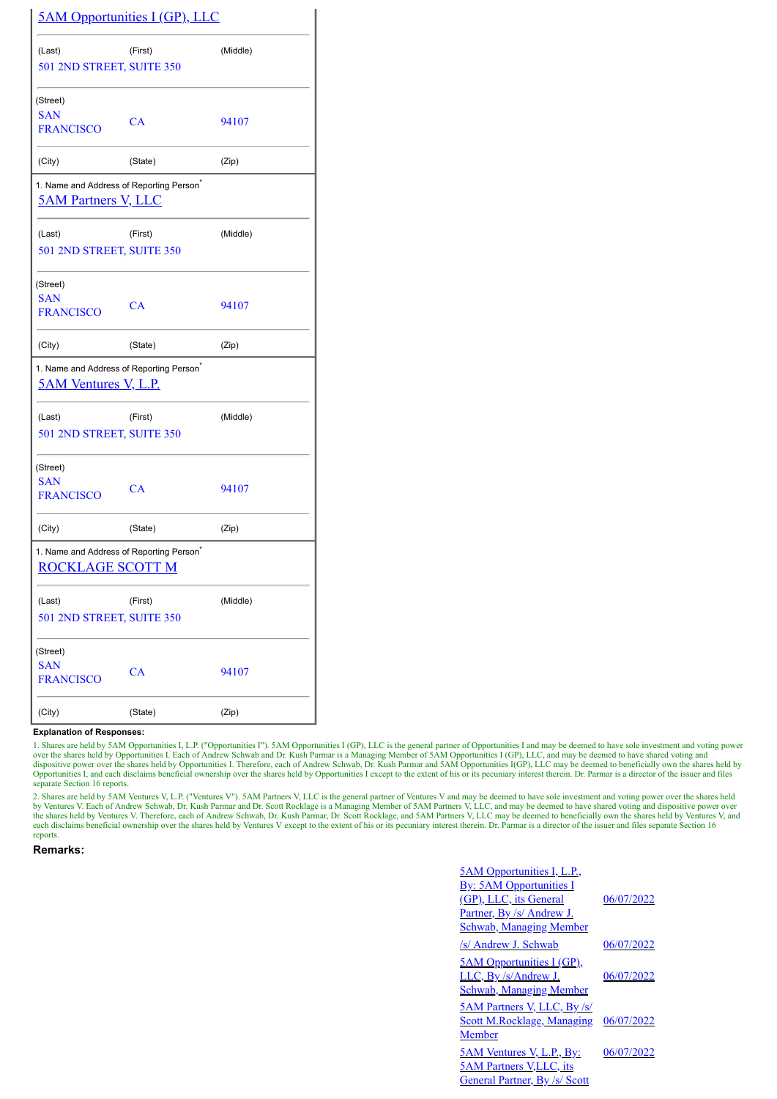|                                | <b><u>5AM Opportunities I (GP), LLC</u></b>          |          |
|--------------------------------|------------------------------------------------------|----------|
| (Last)                         | (First)                                              | (Middle) |
| 501 2ND STREET, SUITE 350      |                                                      |          |
| (Street)                       |                                                      |          |
| <b>SAN</b><br><b>FRANCISCO</b> | CA                                                   | 94107    |
| (City)                         | (State)                                              | (Zip)    |
| <b>5AM Partners V, LLC</b>     | 1. Name and Address of Reporting Person <sup>*</sup> |          |
| (Last)                         | (First)                                              | (Middle) |
| 501 2ND STREET, SUITE 350      |                                                      |          |
| (Street)                       |                                                      |          |
| <b>SAN</b><br><b>FRANCISCO</b> | CA                                                   | 94107    |
|                                |                                                      |          |
| (City)                         | (State)                                              | (Zip)    |
| <b>5AM Ventures V, L.P.</b>    | 1. Name and Address of Reporting Person <sup>*</sup> |          |
| (Last)                         | (First)                                              | (Middle) |
| 501 2ND STREET, SUITE 350      |                                                      |          |
| (Street)                       |                                                      |          |
| <b>SAN</b><br><b>FRANCISCO</b> | CA                                                   | 94107    |
| (City)                         | (State)                                              | (Zip)    |
| <b>ROCKLAGE SCOTT M</b>        | 1. Name and Address of Reporting Person <sup>®</sup> |          |
| (Last)                         | (First)                                              | (Middle) |
| 501 2ND STREET, SUITE 350      |                                                      |          |
| (Street)                       |                                                      |          |
| <b>SAN</b><br><b>FRANCISCO</b> | CA                                                   | 94107    |
| (City)                         | (State)                                              | (Zip)    |

**Explanation of Responses:**

1. Shares are held by 5AM Opportunities I, L.P. ("Opportunities I"). 5AM Opportunities I (GP), LLC is the general partner of Opportunities I and may be deemed to have sole investment and voting power<br>over the shares held b Opportunities I, and each disclaims beneficial ownership over the shares held by Opportunities I except to the extent of his or its pecuniary interest therein. Dr. Parmar is a director of the issuer and files separate Section 16 reports.

2. Shares are held by 5AM Ventures V, L.P. ("Ventures V"). 5AM Partners V, LLC is the general partner of Ventures V and may be deemed to have sole investment and voting power over the shares held<br>by Ventures V. Each of And reports.

## **Remarks:**

| <u>5AM Opportunities I, L.P.,</u>     |            |
|---------------------------------------|------------|
| <b>By:</b> 5AM Opportunities I        |            |
| (GP), LLC, its General                | 06/07/2022 |
| <u>Partner, By /s/ Andrew J.</u>      |            |
| <b>Schwab, Managing Member</b>        |            |
| <i>s</i> / Andrew J. Schwab           | 06/07/2022 |
| <u>5AM Opportunities I (GP)</u> ,     |            |
| LLC, By /s/Andrew J.                  | 06/07/2022 |
| <b>Schwab, Managing Member</b>        |            |
| 5AM Partners V, LLC, By /s/           |            |
| <b>Scott M.Rocklage, Managing</b>     | 06/07/2022 |
| Member                                |            |
| <u>5AM Ventures V, L.P., By:</u>      | 06/07/2022 |
| <b><u>5AM Partners V,LLC, its</u></b> |            |
| General Partner, By /s/ Scott         |            |